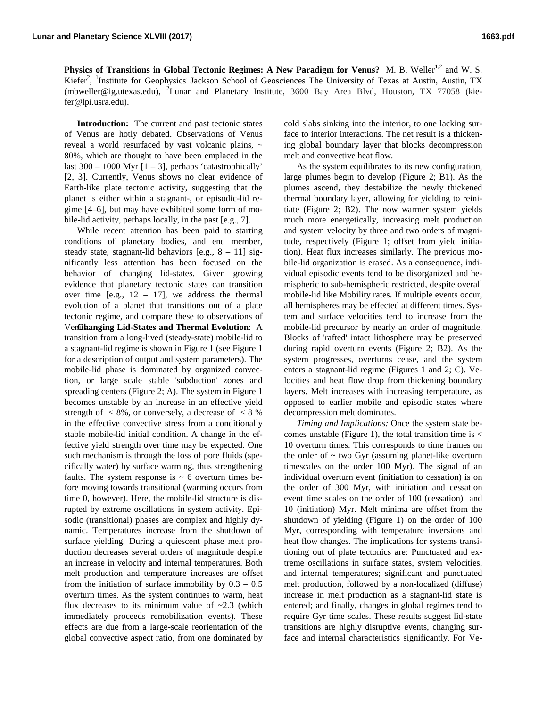**Physics of Transitions in Global Tectonic Regimes: A New Paradigm for Venus?** M. B. Weller<sup>1,2</sup> and W. S. Kiefer<sup>2</sup>, <sup>1</sup>Institute for Geophysics' Jackson School of Geosciences The University of Texas at Austin, Austin, TX (mbweller@ig.utexas.edu), <sup>2</sup>Lunar and Planetary Institute, 3600 Bay Area Blvd, Houston, TX 77058 (kiefer@lpi.usra.edu).

**Introduction:** The current and past tectonic states of Venus are hotly debated. Observations of Venus reveal a world resurfaced by vast volcanic plains, ~ 80%, which are thought to have been emplaced in the last  $300 - 1000$  Myr  $[1 - 3]$ , perhaps 'catastrophically' [2, 3]. Currently, Venus shows no clear evidence of Earth-like plate tectonic activity, suggesting that the planet is either within a stagnant-, or episodic-lid regime [4–6], but may have exhibited some form of mobile-lid activity, perhaps locally, in the past [e.g., 7].

While recent attention has been paid to starting conditions of planetary bodies, and end member, steady state, stagnant-lid behaviors  $[e.g., 8 - 11]$  significantly less attention has been focused on the behavior of changing lid-states. Given growing evidence that planetary tectonic states can transition over time [e.g.,  $12 - 17$ ], we address the thermal evolution of a planet that transitions out of a plate tectonic regime, and compare these to observations of Ven**Changing Lid-States and Thermal Evolution**: A transition from a long-lived (steady-state) mobile-lid to a stagnant-lid regime is shown in Figure 1 (see Figure 1 for a description of output and system parameters). The mobile-lid phase is dominated by organized convection, or large scale stable 'subduction' zones and spreading centers (Figure 2; A). The system in Figure 1 becomes unstable by an increase in an effective yield strength of  $\langle 8\%,$  or conversely, a decrease of  $\langle 8\% \rangle$ in the effective convective stress from a conditionally stable mobile-lid initial condition. A change in the effective yield strength over time may be expected. One such mechanism is through the loss of pore fluids (specifically water) by surface warming, thus strengthening faults. The system response is  $\sim$  6 overturn times before moving towards transitional (warming occurs from time 0, however). Here, the mobile-lid structure is disrupted by extreme oscillations in system activity. Episodic (transitional) phases are complex and highly dynamic. Temperatures increase from the shutdown of surface yielding. During a quiescent phase melt production decreases several orders of magnitude despite an increase in velocity and internal temperatures. Both melt production and temperature increases are offset from the initiation of surface immobility by  $0.3 - 0.5$ overturn times. As the system continues to warm, heat flux decreases to its minimum value of  $\sim$ 2.3 (which immediately proceeds remobilization events). These effects are due from a large-scale reorientation of the global convective aspect ratio, from one dominated by

cold slabs sinking into the interior, to one lacking surface to interior interactions. The net result is a thickening global boundary layer that blocks decompression melt and convective heat flow.

As the system equilibrates to its new configuration, large plumes begin to develop (Figure 2; B1). As the plumes ascend, they destabilize the newly thickened thermal boundary layer, allowing for yielding to reinitiate (Figure 2; B2). The now warmer system yields much more energetically, increasing melt production and system velocity by three and two orders of magnitude, respectively (Figure 1; offset from yield initiation). Heat flux increases similarly. The previous mobile-lid organization is erased. As a consequence, individual episodic events tend to be disorganized and hemispheric to sub-hemispheric restricted, despite overall mobile-lid like Mobility rates. If multiple events occur, all hemispheres may be effected at different times. System and surface velocities tend to increase from the mobile-lid precursor by nearly an order of magnitude. Blocks of 'rafted' intact lithosphere may be preserved during rapid overturn events (Figure 2; B2). As the system progresses, overturns cease, and the system enters a stagnant-lid regime (Figures 1 and 2; C). Velocities and heat flow drop from thickening boundary layers. Melt increases with increasing temperature, as opposed to earlier mobile and episodic states where decompression melt dominates.

*Timing and Implications:* Once the system state becomes unstable (Figure 1), the total transition time is  $\lt$ 10 overturn times. This corresponds to time frames on the order of  $\sim$  two Gyr (assuming planet-like overturn timescales on the order 100 Myr). The signal of an individual overturn event (initiation to cessation) is on the order of 300 Myr, with initiation and cessation event time scales on the order of 100 (cessation) and 10 (initiation) Myr. Melt minima are offset from the shutdown of yielding (Figure 1) on the order of 100 Myr, corresponding with temperature inversions and heat flow changes. The implications for systems transitioning out of plate tectonics are: Punctuated and extreme oscillations in surface states, system velocities, and internal temperatures; significant and punctuated melt production, followed by a non-localized (diffuse) increase in melt production as a stagnant-lid state is entered; and finally, changes in global regimes tend to require Gyr time scales. These results suggest lid-state transitions are highly disruptive events, changing surface and internal characteristics significantly. For Ve